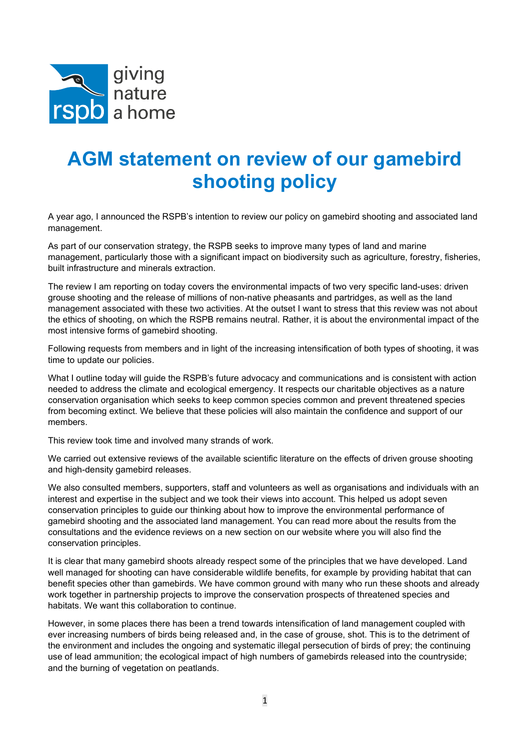

## AGM statement on review of our gamebird shooting policy

A year ago, I announced the RSPB's intention to review our policy on gamebird shooting and associated land management.

As part of our conservation strategy, the RSPB seeks to improve many types of land and marine management, particularly those with a significant impact on biodiversity such as agriculture, forestry, fisheries, built infrastructure and minerals extraction.

The review I am reporting on today covers the environmental impacts of two very specific land-uses: driven grouse shooting and the release of millions of non-native pheasants and partridges, as well as the land management associated with these two activities. At the outset I want to stress that this review was not about the ethics of shooting, on which the RSPB remains neutral. Rather, it is about the environmental impact of the most intensive forms of gamebird shooting.

Following requests from members and in light of the increasing intensification of both types of shooting, it was time to update our policies.

What I outline today will guide the RSPB's future advocacy and communications and is consistent with action needed to address the climate and ecological emergency. It respects our charitable objectives as a nature conservation organisation which seeks to keep common species common and prevent threatened species from becoming extinct. We believe that these policies will also maintain the confidence and support of our members.

This review took time and involved many strands of work.

We carried out extensive reviews of the available scientific literature on the effects of driven grouse shooting and high-density gamebird releases.

We also consulted members, supporters, staff and volunteers as well as organisations and individuals with an interest and expertise in the subject and we took their views into account. This helped us adopt seven conservation principles to guide our thinking about how to improve the environmental performance of gamebird shooting and the associated land management. You can read more about the results from the consultations and the evidence reviews on a new section on our website where you will also find the conservation principles.

It is clear that many gamebird shoots already respect some of the principles that we have developed. Land well managed for shooting can have considerable wildlife benefits, for example by providing habitat that can benefit species other than gamebirds. We have common ground with many who run these shoots and already work together in partnership projects to improve the conservation prospects of threatened species and habitats. We want this collaboration to continue.

However, in some places there has been a trend towards intensification of land management coupled with ever increasing numbers of birds being released and, in the case of grouse, shot. This is to the detriment of the environment and includes the ongoing and systematic illegal persecution of birds of prey; the continuing use of lead ammunition; the ecological impact of high numbers of gamebirds released into the countryside; and the burning of vegetation on peatlands.